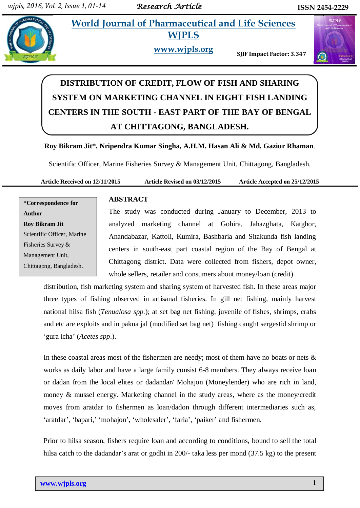**Bikram** *et al***.****World Journal of Pharmaceutical and Life Sciences World Journal of Pharmaceutical and Life Sciences WJPLS**



**www.wjpls.org SJIF Impact Factor: 3.347**



# **DISTRIBUTION OF CREDIT, FLOW OF FISH AND SHARING SYSTEM ON MARKETING CHANNEL IN EIGHT FISH LANDING CENTERS IN THE SOUTH - EAST PART OF THE BAY OF BENGAL AT CHITTAGONG, BANGLADESH.**

# **Roy Bikram Jit\*, Nripendra Kumar Singha, A.H.M. Hasan Ali & Md. Gaziur Rhaman**.

Scientific Officer, Marine Fisheries Survey & Management Unit, Chittagong, Bangladesh.

**Article Received on 12/11/2015 Article Revised on 03/12/2015 Article Accepted on 25/12/2015**

**\*Correspondence for Author Roy Bikram Jit** Scientific Officer, Marine Fisheries Survey & Management Unit, Chittagong, Bangladesh.

# **ABSTRACT**

The study was conducted during January to December, 2013 to analyzed marketing channel at Gohira, Jahazghata, Katghor, Anandabazar, Kattoli, Kumira, Bashbaria and Sitakunda fish landing centers in south-east part coastal region of the Bay of Bengal at Chittagong district. Data were collected from fishers, depot owner, whole sellers, retailer and consumers about money/loan (credit)

distribution, fish marketing system and sharing system of harvested fish. In these areas major three types of fishing observed in artisanal fisheries. In gill net fishing, mainly harvest national hilsa fish (*Tenualosa spp.*); at set bag net fishing, juvenile of fishes, shrimps, crabs and etc are exploits and in pakua jal (modified set bag net) fishing caught sergestid shrimp or "gura icha" (*Acetes spp*.).

In these coastal areas most of the fishermen are needy; most of them have no boats or nets  $\&$ works as daily labor and have a large family consist 6-8 members. They always receive loan or dadan from the local elites or dadandar/ Mohajon (Moneylender) who are rich in land, money & mussel energy. Marketing channel in the study areas, where as the money/credit moves from aratdar to fishermen as loan/dadon through different intermediaries such as, 'aratdar', 'bapari,' 'mohajon', 'wholesaler', 'faria', 'paiker' and fishermen.

Prior to hilsa season, fishers require loan and according to conditions, bound to sell the total hilsa catch to the dadandar's arat or godhi in 200/- taka less per mond (37.5 kg) to the present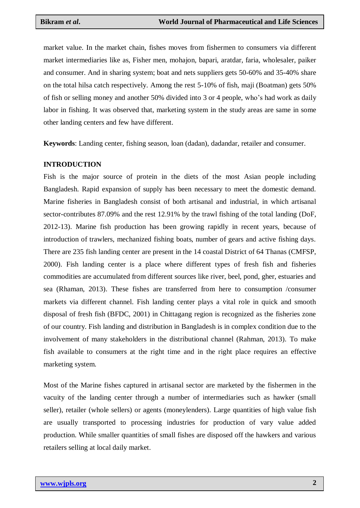market value. In the market chain, fishes moves from fishermen to consumers via different market intermediaries like as, Fisher men, mohajon, bapari, aratdar, faria, wholesaler, paiker and consumer. And in sharing system; boat and nets suppliers gets 50-60% and 35-40% share on the total hilsa catch respectively. Among the rest 5-10% of fish, maji (Boatman) gets 50% of fish or selling money and another 50% divided into 3 or 4 people, who"s had work as daily labor in fishing. It was observed that, marketing system in the study areas are same in some other landing centers and few have different.

**Keywords**: Landing center, fishing season, loan (dadan), dadandar, retailer and consumer.

#### **INTRODUCTION**

Fish is the major source of protein in the diets of the most Asian people including Bangladesh. Rapid expansion of supply has been necessary to meet the domestic demand. Marine fisheries in Bangladesh consist of both artisanal and industrial, in which artisanal sector-contributes 87.09% and the rest 12.91% by the trawl fishing of the total landing (DoF, 2012-13). Marine fish production has been growing rapidly in recent years, because of introduction of trawlers, mechanized fishing boats, number of gears and active fishing days. There are 235 fish landing center are present in the 14 coastal District of 64 Thanas (CMFSP, 2000). Fish landing center is a place where different types of fresh fish and fisheries commodities are accumulated from different sources like river, beel, pond, gher, estuaries and sea (Rhaman, 2013). These fishes are transferred from here to consumption /consumer markets via different channel. Fish landing center plays a vital role in quick and smooth disposal of fresh fish (BFDC, 2001) in Chittagang region is recognized as the fisheries zone of our country. Fish landing and distribution in Bangladesh is in complex condition due to the involvement of many stakeholders in the distributional channel (Rahman, 2013). To make fish available to consumers at the right time and in the right place requires an effective marketing system.

Most of the Marine fishes captured in artisanal sector are marketed by the fishermen in the vacuity of the landing center through a number of intermediaries such as hawker (small seller), retailer (whole sellers) or agents (moneylenders). Large quantities of high value fish are usually transported to processing industries for production of vary value added production. While smaller quantities of small fishes are disposed off the hawkers and various retailers selling at local daily market.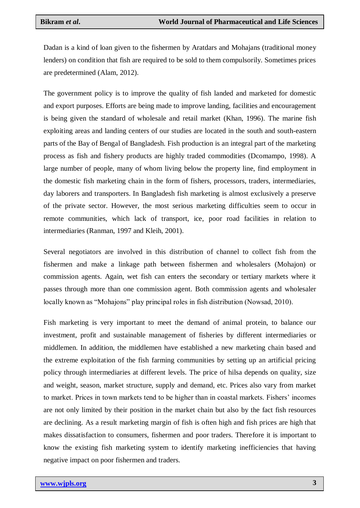Dadan is a kind of loan given to the fishermen by Aratdars and Mohajans (traditional money lenders) on condition that fish are required to be sold to them compulsorily. Sometimes prices are predetermined (Alam, 2012).

The government policy is to improve the quality of fish landed and marketed for domestic and export purposes. Efforts are being made to improve landing, facilities and encouragement is being given the standard of wholesale and retail market (Khan, 1996). The marine fish exploiting areas and landing centers of our studies are located in the south and south-eastern parts of the Bay of Bengal of Bangladesh. Fish production is an integral part of the marketing process as fish and fishery products are highly traded commodities (Dcomampo, 1998). A large number of people, many of whom living below the property line, find employment in the domestic fish marketing chain in the form of fishers, processors, traders, intermediaries, day laborers and transporters. In Bangladesh fish marketing is almost exclusively a preserve of the private sector. However, the most serious marketing difficulties seem to occur in remote communities, which lack of transport, ice, poor road facilities in relation to intermediaries (Ranman, 1997 and Kleih, 2001).

Several negotiators are involved in this distribution of channel to collect fish from the fishermen and make a linkage path between fishermen and wholesalers (Mohajon) or commission agents. Again, wet fish can enters the secondary or tertiary markets where it passes through more than one commission agent. Both commission agents and wholesaler locally known as "Mohajons" play principal roles in fish distribution (Nowsad, 2010).

Fish marketing is very important to meet the demand of animal protein, to balance our investment, profit and sustainable management of fisheries by different intermediaries or middlemen. In addition, the middlemen have established a new marketing chain based and the extreme exploitation of the fish farming communities by setting up an artificial pricing policy through intermediaries at different levels. The price of hilsa depends on quality, size and weight, season, market structure, supply and demand, etc. Prices also vary from market to market. Prices in town markets tend to be higher than in coastal markets. Fishers" incomes are not only limited by their position in the market chain but also by the fact fish resources are declining. As a result marketing margin of fish is often high and fish prices are high that makes dissatisfaction to consumers, fishermen and poor traders. Therefore it is important to know the existing fish marketing system to identify marketing inefficiencies that having negative impact on poor fishermen and traders.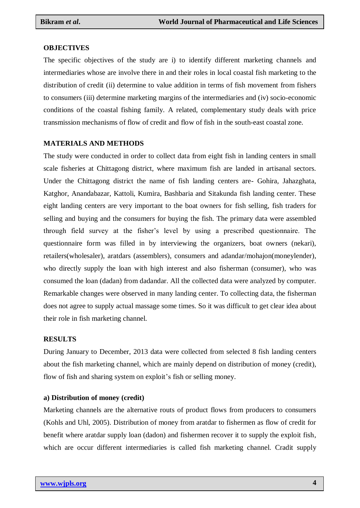#### **OBJECTIVES**

The specific objectives of the study are i) to identify different marketing channels and intermediaries whose are involve there in and their roles in local coastal fish marketing to the distribution of credit (ii) determine to value addition in terms of fish movement from fishers to consumers (iii) determine marketing margins of the intermediaries and (iv) socio-economic conditions of the coastal fishing family. A related, complementary study deals with price transmission mechanisms of flow of credit and flow of fish in the south-east coastal zone.

#### **MATERIALS AND METHODS**

The study were conducted in order to collect data from eight fish in landing centers in small scale fisheries at Chittagong district, where maximum fish are landed in artisanal sectors. Under the Chittagong district the name of fish landing centers are- Gohira, Jahazghata, Katghor, Anandabazar, Kattoli, Kumira, Bashbaria and Sitakunda fish landing center. These eight landing centers are very important to the boat owners for fish selling, fish traders for selling and buying and the consumers for buying the fish. The primary data were assembled through field survey at the fisher"s level by using a prescribed questionnaire. The questionnaire form was filled in by interviewing the organizers, boat owners (nekari), retailers(wholesaler), aratdars (assemblers), consumers and adandar/mohajon(moneylender), who directly supply the loan with high interest and also fisherman (consumer), who was consumed the loan (dadan) from dadandar. All the collected data were analyzed by computer. Remarkable changes were observed in many landing center. To collecting data, the fisherman does not agree to supply actual massage some times. So it was difficult to get clear idea about their role in fish marketing channel.

#### **RESULTS**

During January to December, 2013 data were collected from selected 8 fish landing centers about the fish marketing channel, which are mainly depend on distribution of money (credit), flow of fish and sharing system on exploit's fish or selling money.

#### **a) Distribution of money (credit)**

Marketing channels are the alternative routs of product flows from producers to consumers (Kohls and Uhl, 2005). Distribution of money from aratdar to fishermen as flow of credit for benefit where aratdar supply loan (dadon) and fishermen recover it to supply the exploit fish, which are occur different intermediaries is called fish marketing channel. Cradit supply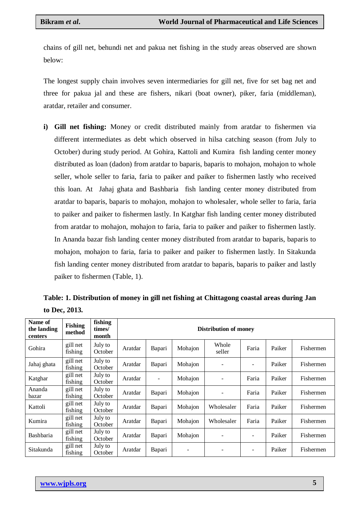chains of gill net, behundi net and pakua net fishing in the study areas observed are shown below:

The longest supply chain involves seven intermediaries for gill net, five for set bag net and three for pakua jal and these are fishers, nikari (boat owner), piker, faria (middleman), aratdar, retailer and consumer.

**i) Gill net fishing:** Money or credit distributed mainly from aratdar to fishermen via different intermediates as debt which observed in hilsa catching season (from July to October) during study period. At Gohira, Kattoli and Kumira fish landing center money distributed as loan (dadon) from aratdar to baparis, baparis to mohajon, mohajon to whole seller, whole seller to faria, faria to paiker and paiker to fishermen lastly who received this loan. At Jahaj ghata and Bashbaria fish landing center money distributed from aratdar to baparis, baparis to mohajon, mohajon to wholesaler, whole seller to faria, faria to paiker and paiker to fishermen lastly. In Katghar fish landing center money distributed from aratdar to mohajon, mohajon to faria, faria to paiker and paiker to fishermen lastly. In Ananda bazar fish landing center money distributed from aratdar to baparis, baparis to mohajon, mohajon to faria, faria to paiker and paiker to fishermen lastly. In Sitakunda fish landing center money distributed from aratdar to baparis, baparis to paiker and lastly paiker to fishermen (Table, 1).

|               | Table: 1. Distribution of money in gill net fishing at Chittagong coastal areas during Jan |  |
|---------------|--------------------------------------------------------------------------------------------|--|
| to Dec, 2013. |                                                                                            |  |

| Name of<br>the landing<br>centers | <b>Fishing</b><br>method | fishing<br>times/<br>month | <b>Distribution of money</b> |                          |         |                 |                          |        |           |
|-----------------------------------|--------------------------|----------------------------|------------------------------|--------------------------|---------|-----------------|--------------------------|--------|-----------|
| Gohira                            | gill net<br>fishing      | July to<br>October         | Aratdar                      | Bapari                   | Mohajon | Whole<br>seller | Faria                    | Paiker | Fishermen |
| Jahaj ghata                       | gill net<br>fishing      | July to<br>October         | Aratdar                      | Bapari                   | Mohajon |                 |                          | Paiker | Fishermen |
| Katghar                           | gill net<br>fishing      | July to<br>October         | Aratdar                      | $\overline{\phantom{a}}$ | Mohajon | $\overline{a}$  | Faria                    | Paiker | Fishermen |
| Ananda<br>bazar                   | gill net<br>fishing      | July to<br>October         | Aratdar                      | Bapari                   | Mohajon |                 | Faria                    | Paiker | Fishermen |
| Kattoli                           | gill net<br>fishing      | July to<br>October         | Aratdar                      | Bapari                   | Mohajon | Wholesaler      | Faria                    | Paiker | Fishermen |
| Kumira                            | gill net<br>fishing      | July to<br>October         | Aratdar                      | Bapari                   | Mohajon | Wholesaler      | Faria                    | Paiker | Fishermen |
| Bashbaria                         | gill net<br>fishing      | July to<br>October         | Aratdar                      | Bapari                   | Mohajon |                 |                          | Paiker | Fishermen |
| Sitakunda                         | gill net<br>fishing      | July to<br>October         | Aratdar                      | Bapari                   |         | $\overline{a}$  | $\overline{\phantom{a}}$ | Paiker | Fishermen |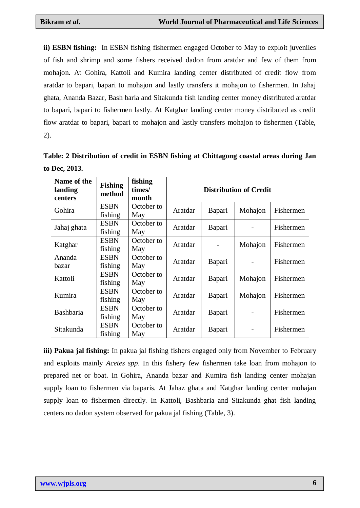**ii) ESBN fishing:** In ESBN fishing fishermen engaged October to May to exploit juveniles of fish and shrimp and some fishers received dadon from aratdar and few of them from mohajon. At Gohira, Kattoli and Kumira landing center distributed of credit flow from aratdar to bapari, bapari to mohajon and lastly transfers it mohajon to fishermen. In Jahaj ghata, Ananda Bazar, Bash baria and Sitakunda fish landing center money distributed aratdar to bapari, bapari to fishermen lastly. At Katghar landing center money distributed as credit flow aratdar to bapari, bapari to mohajon and lastly transfers mohajon to fishermen (Table, 2).

| Table: 2 Distribution of credit in ESBN fishing at Chittagong coastal areas during Jan |  |  |  |
|----------------------------------------------------------------------------------------|--|--|--|
| to Dec, 2013.                                                                          |  |  |  |

| Name of the<br>landing<br>centers | <b>Fishing</b><br>method | fishing<br>times/<br>month | <b>Distribution of Credit</b> |        |         |           |  |
|-----------------------------------|--------------------------|----------------------------|-------------------------------|--------|---------|-----------|--|
| Gohira                            | <b>ESBN</b><br>fishing   | October to<br>May          | Aratdar                       | Bapari | Mohajon | Fishermen |  |
| Jahaj ghata                       | <b>ESBN</b><br>fishing   | October to<br>May          | Aratdar                       | Bapari |         | Fishermen |  |
| Katghar                           | <b>ESBN</b><br>fishing   | October to<br>May          | Aratdar                       |        | Mohajon | Fishermen |  |
| Ananda<br>bazar                   | <b>ESBN</b><br>fishing   | October to<br>May          | Aratdar                       | Bapari |         | Fishermen |  |
| Kattoli                           | <b>ESBN</b><br>fishing   | October to<br>May          | Aratdar                       | Bapari | Mohajon | Fishermen |  |
| Kumira                            | <b>ESBN</b><br>fishing   | October to<br>May          | Aratdar                       | Bapari | Mohajon | Fishermen |  |
| Bashbaria                         | <b>ESBN</b><br>fishing   | October to<br>May          | Aratdar                       | Bapari |         | Fishermen |  |
| Sitakunda                         | <b>ESBN</b><br>fishing   | October to<br>May          | Aratdar                       | Bapari |         | Fishermen |  |

**iii) Pakua jal fishing:** In pakua jal fishing fishers engaged only from November to February and exploits mainly *Acetes spp*. In this fishery few fishermen take loan from mohajon to prepared net or boat. In Gohira, Ananda bazar and Kumira fish landing center mohajan supply loan to fishermen via baparis. At Jahaz ghata and Katghar landing center mohajan supply loan to fishermen directly. In Kattoli, Bashbaria and Sitakunda ghat fish landing centers no dadon system observed for pakua jal fishing (Table, 3).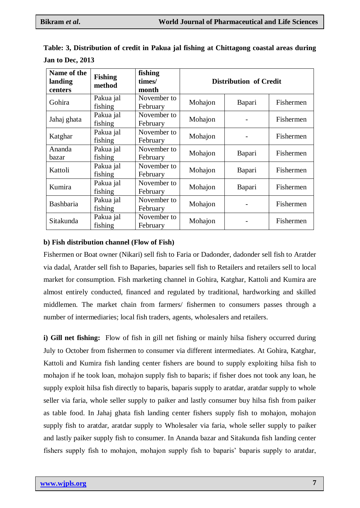| Name of the<br>landing<br>centers | <b>Fishing</b><br>method | fishing<br>times/<br>month | <b>Distribution of Credit</b> |        |           |  |  |
|-----------------------------------|--------------------------|----------------------------|-------------------------------|--------|-----------|--|--|
| Gohira                            | Pakua jal<br>fishing     | November to<br>February    | Mohajon                       | Bapari | Fishermen |  |  |
| Jahaj ghata                       | Pakua jal<br>fishing     | November to<br>February    | Mohajon                       |        | Fishermen |  |  |
| Katghar                           | Pakua jal<br>fishing     | November to<br>February    | Mohajon                       |        | Fishermen |  |  |
| Ananda<br>bazar                   | Pakua jal<br>fishing     | November to<br>February    | Mohajon                       | Bapari | Fishermen |  |  |
| Kattoli                           | Pakua jal<br>fishing     | November to<br>February    | Mohajon                       | Bapari | Fishermen |  |  |
| Kumira                            | Pakua jal<br>fishing     | November to<br>February    | Mohajon                       | Bapari | Fishermen |  |  |
| Bashbaria                         | Pakua jal<br>fishing     | November to<br>February    | Mohajon                       |        | Fishermen |  |  |
| Sitakunda                         | Pakua jal<br>fishing     | November to<br>February    | Mohajon                       |        | Fishermen |  |  |

**Table: 3, Distribution of credit in Pakua jal fishing at Chittagong coastal areas during Jan to Dec, 2013**

# **b) Fish distribution channel (Flow of Fish)**

Fishermen or Boat owner (Nikari) sell fish to Faria or Dadonder, dadonder sell fish to Aratder via dadal, Aratder sell fish to Baparies, baparies sell fish to Retailers and retailers sell to local market for consumption. Fish marketing channel in Gohira, Katghar, Kattoli and Kumira are almost entirely conducted, financed and regulated by traditional, hardworking and skilled middlemen. The market chain from farmers/ fishermen to consumers passes through a number of intermediaries; local fish traders, agents, wholesalers and retailers.

**i) Gill net fishing:** Flow of fish in gill net fishing or mainly hilsa fishery occurred during July to October from fishermen to consumer via different intermediates. At Gohira, Katghar, Kattoli and Kumira fish landing center fishers are bound to supply exploiting hilsa fish to mohajon if he took loan, mohajon supply fish to baparis; if fisher does not took any loan, he supply exploit hilsa fish directly to baparis, baparis supply to aratdar, aratdar supply to whole seller via faria, whole seller supply to paiker and lastly consumer buy hilsa fish from paiker as table food. In Jahaj ghata fish landing center fishers supply fish to mohajon, mohajon supply fish to aratdar, aratdar supply to Wholesaler via faria, whole seller supply to paiker and lastly paiker supply fish to consumer. In Ananda bazar and Sitakunda fish landing center fishers supply fish to mohajon, mohajon supply fish to baparis" baparis supply to aratdar,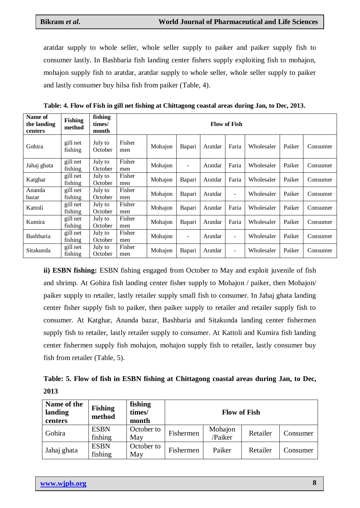aratdar supply to whole seller, whole seller supply to paiker and paiker supply fish to consumer lastly. In Bashbaria fish landing center fishers supply exploiting fish to mohajon, mohajon supply fish to aratdar, aratdar supply to whole seller, whole seller supply to paiker and lastly consumer buy hilsa fish from paiker (Table, 4).

| Name of<br>the landing<br>centers | <b>Fishing</b><br>method | fishing<br>times/<br>month |               |         |                          |         | <b>Flow of Fish</b>          |            |        |          |
|-----------------------------------|--------------------------|----------------------------|---------------|---------|--------------------------|---------|------------------------------|------------|--------|----------|
| Gohira                            | gill net<br>fishing      | July to<br>October         | Fisher<br>men | Mohajon | Bapari                   | Aratdar | Faria                        | Wholesaler | Paiker | Consumer |
| Jahaj ghata                       | gill net<br>fishing      | July to<br>October         | Fisher<br>men | Mohajon | $\overline{\phantom{a}}$ | Aratdar | Faria                        | Wholesaler | Paiker | Consumer |
| Katghar                           | gill net<br>fishing      | July to<br>October         | Fisher<br>men | Mohajon | Bapari                   | Aratdar | Faria                        | Wholesaler | Paiker | Consumer |
| Ananda<br>bazar                   | gill net<br>fishing      | July to<br>October         | Fisher<br>men | Mohajon | Bapari                   | Aratdar | $\qquad \qquad \blacksquare$ | Wholesaler | Paiker | Consumer |
| Kattoli                           | gill net<br>fishing      | July to<br>October         | Fisher<br>men | Mohajon | Bapari                   | Aratdar | Faria                        | Wholesaler | Paiker | Consumer |
| Kumira                            | gill net<br>fishing      | July to<br>October         | Fisher<br>men | Mohajon | Bapari                   | Aratdar | Faria                        | Wholesaler | Paiker | Consumer |
| Bashbaria                         | gill net<br>fishing      | July to<br>October         | Fisher<br>men | Mohajon | $\blacksquare$           | Aratdar | ÷,                           | Wholesaler | Paiker | Consumer |
| Sitakunda                         | gill net<br>fishing      | July to<br>October         | Fisher<br>men | Mohajon | Bapari                   | Aratdar | $\overline{a}$               | Wholesaler | Paiker | Consumer |

**Table: 4. Flow of Fish in gill net fishing at Chittagong coastal areas during Jan, to Dec, 2013.**

**ii) ESBN fishing:** ESBN fishing engaged from October to May and exploit juvenile of fish and shrimp. At Gohira fish landing center fisher supply to Mohajon / paiker, then Mohajon/ paiker supply to retailer, lastly retailer supply small fish to consumer. In Jahaj ghata landing center fisher supply fish to paiker, then paiker supply to retailer and retailer supply fish to consumer. At Katghar, Ananda bazar, Bashbaria and Sitakunda landing center fishermen supply fish to retailer, lastly retailer supply to consumer. At Kattoli and Kumira fish landing center fishermen supply fish mohajon, mohajon supply fish to retailer, lastly consumer buy fish from retailer (Table, 5).

|      |  | Table: 5. Flow of fish in ESBN fishing at Chittagong coastal areas during Jan, to Dec, |  |  |
|------|--|----------------------------------------------------------------------------------------|--|--|
| 2013 |  |                                                                                        |  |  |

| Name of the<br>landing<br>centers | <b>Fishing</b><br>method | fishing<br>times/<br>month |           | <b>Flow of Fish</b> |          |          |
|-----------------------------------|--------------------------|----------------------------|-----------|---------------------|----------|----------|
| Gohira                            | <b>ESBN</b><br>fishing   | October to<br>May          | Fishermen | Mohajon<br>/Paiker  | Retailer | Consumer |
| Jahaj ghata                       | <b>ESBN</b><br>fishing   | October to<br>May          | Fishermen | Paiker              | Retailer | Consumer |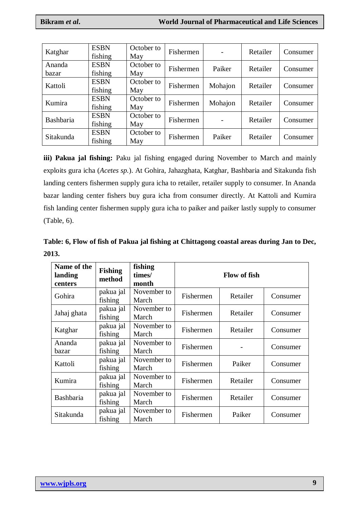| Katghar         | <b>ESBN</b><br>fishing | October to<br>May | Fishermen |         | Retailer | Consumer |
|-----------------|------------------------|-------------------|-----------|---------|----------|----------|
| Ananda<br>bazar | <b>ESBN</b><br>fishing | October to<br>May | Fishermen | Paiker  | Retailer | Consumer |
| Kattoli         | <b>ESBN</b><br>fishing | October to<br>May | Fishermen | Mohajon | Retailer | Consumer |
| Kumira          | <b>ESBN</b><br>fishing | October to<br>May | Fishermen | Mohajon | Retailer | Consumer |
| Bashbaria       | <b>ESBN</b><br>fishing | October to<br>May | Fishermen |         | Retailer | Consumer |
| Sitakunda       | <b>ESBN</b><br>fishing | October to<br>May | Fishermen | Paiker  | Retailer | Consumer |

**iii) Pakua jal fishing:** Paku jal fishing engaged during November to March and mainly exploits gura icha (*Acetes sp.*). At Gohira, Jahazghata, Katghar, Bashbaria and Sitakunda fish landing centers fishermen supply gura icha to retailer, retailer supply to consumer. In Ananda bazar landing center fishers buy gura icha from consumer directly. At Kattoli and Kumira fish landing center fishermen supply gura icha to paiker and paiker lastly supply to consumer (Table, 6).

|       |  |  | Table: 6, Flow of fish of Pakua jal fishing at Chittagong coastal areas during Jan to Dec, |
|-------|--|--|--------------------------------------------------------------------------------------------|
| 2013. |  |  |                                                                                            |

| Name of the<br>landing<br>centers | <b>Fishing</b><br>method | fishing<br>times/<br>month | <b>Flow of fish</b> |          |          |  |  |
|-----------------------------------|--------------------------|----------------------------|---------------------|----------|----------|--|--|
| Gohira                            | pakua jal<br>fishing     | November to<br>March       | Fishermen           | Retailer | Consumer |  |  |
| Jahaj ghata                       | pakua jal<br>fishing     | November to<br>March       | Fishermen           | Retailer | Consumer |  |  |
| Katghar                           | pakua jal<br>fishing     | November to<br>March       | Fishermen           | Retailer | Consumer |  |  |
| Ananda<br>bazar                   | pakua jal<br>fishing     | November to<br>March       | Fishermen           |          | Consumer |  |  |
| Kattoli                           | pakua jal<br>fishing     | November to<br>March       | Fishermen           | Paiker   | Consumer |  |  |
| Kumira                            | pakua jal<br>fishing     | November to<br>March       | Fishermen           | Retailer | Consumer |  |  |
| Bashbaria                         | pakua jal<br>fishing     | November to<br>March       | Fishermen           | Retailer | Consumer |  |  |
| Sitakunda                         | pakua jal<br>fishing     | November to<br>March       | Fishermen           | Paiker   | Consumer |  |  |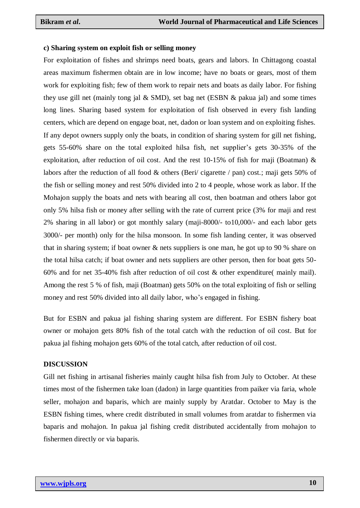#### **c) Sharing system on exploit fish or selling money**

For exploitation of fishes and shrimps need boats, gears and labors. In Chittagong coastal areas maximum fishermen obtain are in low income; have no boats or gears, most of them work for exploiting fish; few of them work to repair nets and boats as daily labor. For fishing they use gill net (mainly tong jal & SMD), set bag net (ESBN & pakua jal) and some times long lines. Sharing based system for exploitation of fish observed in every fish landing centers, which are depend on engage boat, net, dadon or loan system and on exploiting fishes. If any depot owners supply only the boats, in condition of sharing system for gill net fishing, gets 55-60% share on the total exploited hilsa fish, net supplier"s gets 30-35% of the exploitation, after reduction of oil cost. And the rest 10-15% of fish for maji (Boatman) & labors after the reduction of all food & others (Beri/ cigarette / pan) cost.; maji gets 50% of the fish or selling money and rest 50% divided into 2 to 4 people, whose work as labor. If the Mohajon supply the boats and nets with bearing all cost, then boatman and others labor got only 5% hilsa fish or money after selling with the rate of current price (3% for maji and rest 2% sharing in all labor) or got monthly salary (maji-8000/- to10,000/- and each labor gets 3000/- per month) only for the hilsa monsoon. In some fish landing center, it was observed that in sharing system; if boat owner & nets suppliers is one man, he got up to 90 % share on the total hilsa catch; if boat owner and nets suppliers are other person, then for boat gets 50- 60% and for net 35-40% fish after reduction of oil cost & other expenditure( mainly mail). Among the rest 5 % of fish, maji (Boatman) gets 50% on the total exploiting of fish or selling money and rest 50% divided into all daily labor, who"s engaged in fishing.

But for ESBN and pakua jal fishing sharing system are different. For ESBN fishery boat owner or mohajon gets 80% fish of the total catch with the reduction of oil cost. But for pakua jal fishing mohajon gets 60% of the total catch, after reduction of oil cost.

#### **DISCUSSION**

Gill net fishing in artisanal fisheries mainly caught hilsa fish from July to October. At these times most of the fishermen take loan (dadon) in large quantities from paiker via faria, whole seller, mohajon and baparis, which are mainly supply by Aratdar. October to May is the ESBN fishing times, where credit distributed in small volumes from aratdar to fishermen via baparis and mohajon. In pakua jal fishing credit distributed accidentally from mohajon to fishermen directly or via baparis.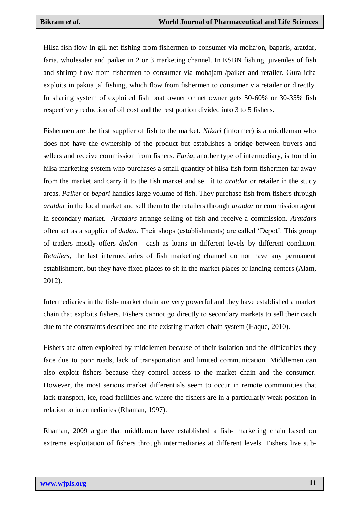Hilsa fish flow in gill net fishing from fishermen to consumer via mohajon, baparis, aratdar, faria, wholesaler and paiker in 2 or 3 marketing channel. In ESBN fishing, juveniles of fish and shrimp flow from fishermen to consumer via mohajam /paiker and retailer. Gura icha exploits in pakua jal fishing, which flow from fishermen to consumer via retailer or directly. In sharing system of exploited fish boat owner or net owner gets 50-60% or 30-35% fish respectively reduction of oil cost and the rest portion divided into 3 to 5 fishers.

Fishermen are the first supplier of fish to the market. *Nikari* (informer) is a middleman who does not have the ownership of the product but establishes a bridge between buyers and sellers and receive commission from fishers. *Faria*, another type of intermediary, is found in hilsa marketing system who purchases a small quantity of hilsa fish form fishermen far away from the market and carry it to the fish market and sell it to *aratdar* or retailer in the study areas. *Paiker* or *bepari* handles large volume of fish. They purchase fish from fishers through *aratdar* in the local market and sell them to the retailers through *aratdar* or commission agent in secondary market. *Aratdars* arrange selling of fish and receive a commission. *Aratdars* often act as a supplier of *dadan*. Their shops (establishments) are called 'Depot'. This group of traders mostly offers *dadon* - cash as loans in different levels by different condition. *Retailers,* the last intermediaries of fish marketing channel do not have any permanent establishment, but they have fixed places to sit in the market places or landing centers (Alam, 2012).

Intermediaries in the fish- market chain are very powerful and they have established a market chain that exploits fishers. Fishers cannot go directly to secondary markets to sell their catch due to the constraints described and the existing market-chain system (Haque, 2010).

Fishers are often exploited by middlemen because of their isolation and the difficulties they face due to poor roads, lack of transportation and limited communication. Middlemen can also exploit fishers because they control access to the market chain and the consumer. However, the most serious market differentials seem to occur in remote communities that lack transport, ice, road facilities and where the fishers are in a particularly weak position in relation to intermediaries (Rhaman, 1997).

Rhaman, 2009 argue that middlemen have established a fish- marketing chain based on extreme exploitation of fishers through intermediaries at different levels. Fishers live sub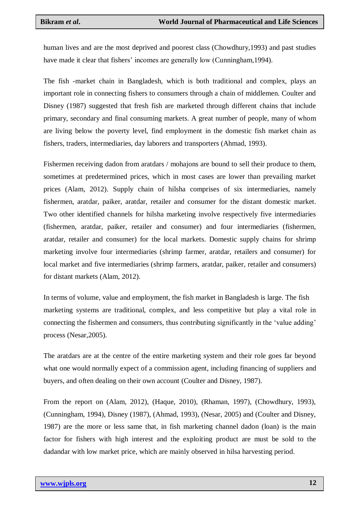human lives and are the most deprived and poorest class (Chowdhury,1993) and past studies have made it clear that fishers' incomes are generally low (Cunningham, 1994).

The fish -market chain in Bangladesh, which is both traditional and complex, plays an important role in connecting fishers to consumers through a chain of middlemen. Coulter and Disney (1987) suggested that fresh fish are marketed through different chains that include primary, secondary and final consuming markets. A great number of people, many of whom are living below the poverty level, find employment in the domestic fish market chain as fishers, traders, intermediaries, day laborers and transporters (Ahmad, 1993).

Fishermen receiving dadon from aratdars / mohajons are bound to sell their produce to them, sometimes at predetermined prices, which in most cases are lower than prevailing market prices (Alam, 2012). Supply chain of hilsha comprises of six intermediaries, namely fishermen, aratdar, paiker, aratdar, retailer and consumer for the distant domestic market. Two other identified channels for hilsha marketing involve respectively five intermediaries (fishermen, aratdar, paiker, retailer and consumer) and four intermediaries (fishermen, aratdar, retailer and consumer) for the local markets. Domestic supply chains for shrimp marketing involve four intermediaries (shrimp farmer, aratdar, retailers and consumer) for local market and five intermediaries (shrimp farmers, aratdar, paiker, retailer and consumers) for distant markets (Alam, 2012).

In terms of volume, value and employment, the fish market in Bangladesh is large. The fish marketing systems are traditional, complex, and less competitive but play a vital role in connecting the fishermen and consumers, thus contributing significantly in the 'value adding' process (Nesar,2005).

The aratdars are at the centre of the entire marketing system and their role goes far beyond what one would normally expect of a commission agent, including financing of suppliers and buyers, and often dealing on their own account (Coulter and Disney, 1987).

From the report on (Alam, 2012), (Haque, 2010), (Rhaman, 1997), (Chowdhury, 1993), (Cunningham, 1994), Disney (1987), (Ahmad, 1993), (Nesar, 2005) and (Coulter and Disney, 1987) are the more or less same that, in fish marketing channel dadon (loan) is the main factor for fishers with high interest and the exploiting product are must be sold to the dadandar with low market price, which are mainly observed in hilsa harvesting period.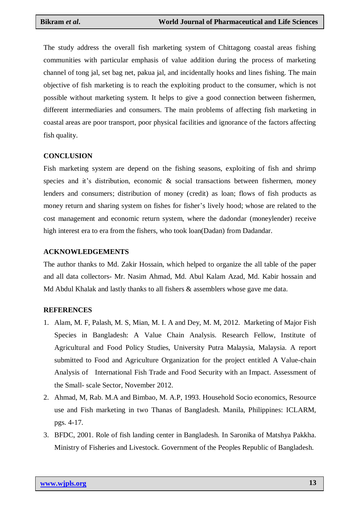The study address the overall fish marketing system of Chittagong coastal areas fishing communities with particular emphasis of value addition during the process of marketing channel of tong jal, set bag net, pakua jal, and incidentally hooks and lines fishing. The main objective of fish marketing is to reach the exploiting product to the consumer, which is not possible without marketing system. It helps to give a good connection between fishermen, different intermediaries and consumers. The main problems of affecting fish marketing in coastal areas are poor transport, poor physical facilities and ignorance of the factors affecting fish quality.

# **CONCLUSION**

Fish marketing system are depend on the fishing seasons, exploiting of fish and shrimp species and it's distribution, economic  $\&$  social transactions between fishermen, money lenders and consumers; distribution of money (credit) as loan; flows of fish products as money return and sharing system on fishes for fisher"s lively hood; whose are related to the cost management and economic return system, where the dadondar (moneylender) receive high interest era to era from the fishers, who took loan(Dadan) from Dadandar.

# **ACKNOWLEDGEMENTS**

The author thanks to Md. Zakir Hossain, which helped to organize the all table of the paper and all data collectors- Mr. Nasim Ahmad, Md. Abul Kalam Azad, Md. Kabir hossain and Md Abdul Khalak and lastly thanks to all fishers & assemblers whose gave me data.

# **REFERENCES**

- 1. Alam, M. F, Palash, M. S, Mian, M. I. A and Dey, M. M, 2012. Marketing of Major Fish Species in Bangladesh: A Value Chain Analysis. Research Fellow, Institute of Agricultural and Food Policy Studies, University Putra Malaysia, Malaysia. A report submitted to Food and Agriculture Organization for the project entitled A Value-chain Analysis of International Fish Trade and Food Security with an Impact. Assessment of the Small- scale Sector, November 2012.
- 2. Ahmad, M, Rab. M.A and Bimbao, M. A.P, 1993. Household Socio economics, Resource use and Fish marketing in two Thanas of Bangladesh. Manila, Philippines: ICLARM, pgs. 4-17.
- 3. BFDC, 2001. Role of fish landing center in Bangladesh. In Saronika of Matshya Pakkha. Ministry of Fisheries and Livestock. Government of the Peoples Republic of Bangladesh.